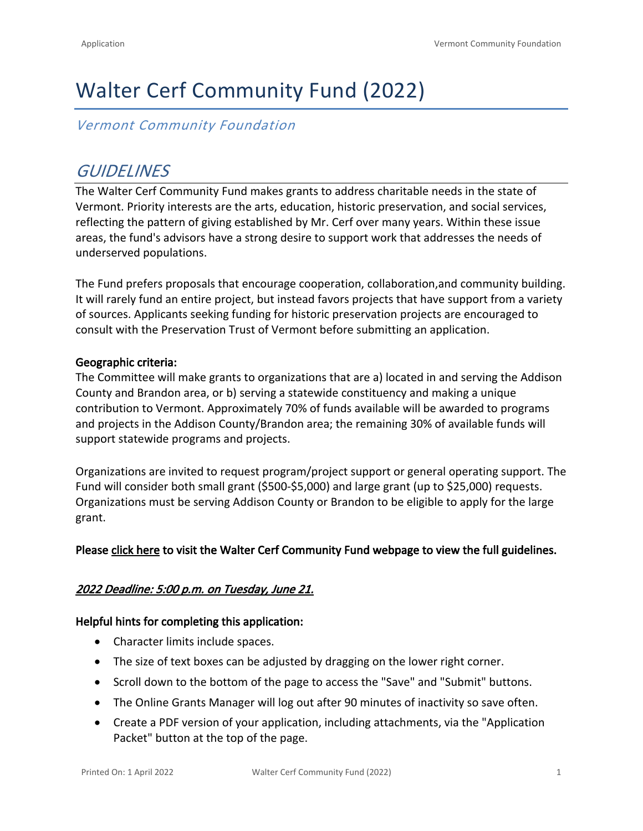# Walter Cerf Community Fund (2022)

*Vermont Community Foundation*

# *GUIDELINES*

The Walter Cerf Community Fund makes grants to address charitable needs in the state of Vermont. Priority interests are the arts, education, historic preservation, and social services, reflecting the pattern of giving established by Mr. Cerf over many years. Within these issue areas, the fund's advisors have a strong desire to support work that addresses the needs of underserved populations.

The Fund prefers proposals that encourage cooperation, collaboration,and community building. It will rarely fund an entire project, but instead favors projects that have support from a variety of sources. Applicants seeking funding for historic preservation projects are encouraged to consult with the Preservation Trust of Vermont before submitting an application.

### **Geographic criteria:**

The Committee will make grants to organizations that are a) located in and serving the Addison County and Brandon area, or b) serving a statewide constituency and making a unique contribution to Vermont. Approximately 70% of funds available will be awarded to programs and projects in the Addison County/Brandon area; the remaining 30% of available funds will support statewide programs and projects.

Organizations are invited to request program/project support or general operating support. The Fund will consider both small grant (\$500-\$5,000) and large grant (up to \$25,000) requests. Organizations must be serving Addison County or Brandon to be eligible to apply for the large grant.

### **Please [click here](https://vermontcf.org/our-impact/programs-and-funds/walter-cerf-community-fund/) to visit the Walter Cerf Community Fund webpage to view the full guidelines.**

### *2022 Deadline: 5:00 p.m. on Tuesday, June 21.*

#### **Helpful hints for completing this application:**

- Character limits include spaces.
- The size of text boxes can be adjusted by dragging on the lower right corner.
- Scroll down to the bottom of the page to access the "Save" and "Submit" buttons.
- The Online Grants Manager will log out after 90 minutes of inactivity so save often.
- Create a PDF version of your application, including attachments, via the "Application Packet" button at the top of the page.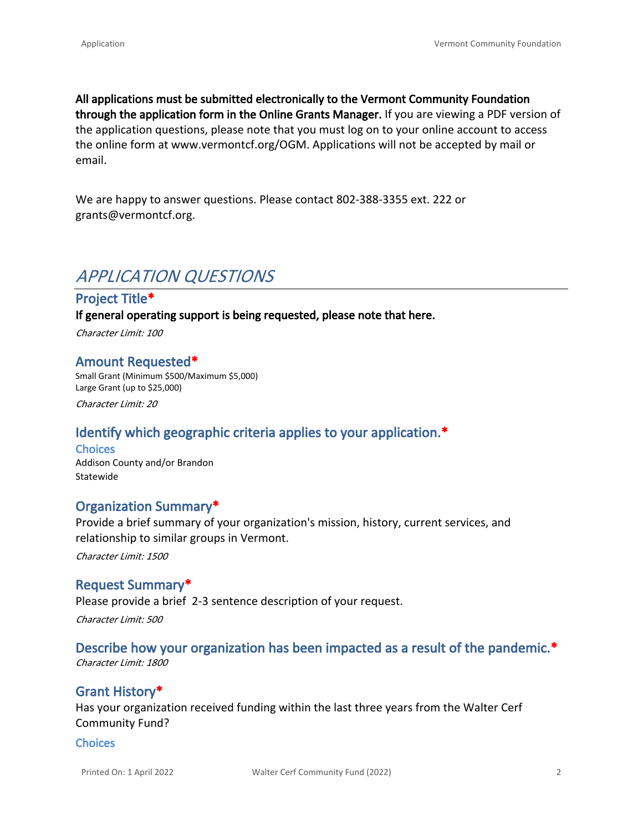**All applications must be submitted electronically to the Vermont Community Foundation through the application form in the Online Grants Manager.** If you are viewing a PDF version of the application questions, please note that you must log on to your online account to access the online form at [www.vermontcf.org/OGM](http://www.vermontcf.org/OGM). Applications will not be accepted by mail or email.

We are happy to answer questions. Please contact 802-388-3355 ext. 222 or grants@vermontcf.org.

# *APPLICATION QUESTIONS*

### **Project Title\***

**If general operating support is being requested, please note that here.**

*Character Limit: 100*

#### **Amount Requested\***

Small Grant (Minimum \$500/Maximum \$5,000) Large Grant (up to \$25,000)

*Character Limit: 20*

# **Identify which geographic criteria applies to your application.\***

**Choices** Addison County and/or Brandon Statewide

# **Organization Summary\***

Provide a brief summary of your organization's mission, history, current services, and relationship to similar groups in Vermont.

*Character Limit: 1500*

### **Request Summary\***

Please provide a brief 2-3 sentence description of your request. *Character Limit: 500*

### **Describe how your organization has been impacted as a result of the pandemic.\***

*Character Limit: 1800*

# **Grant History\***

Has your organization received funding within the last three years from the Walter Cerf Community Fund?

#### **Choices**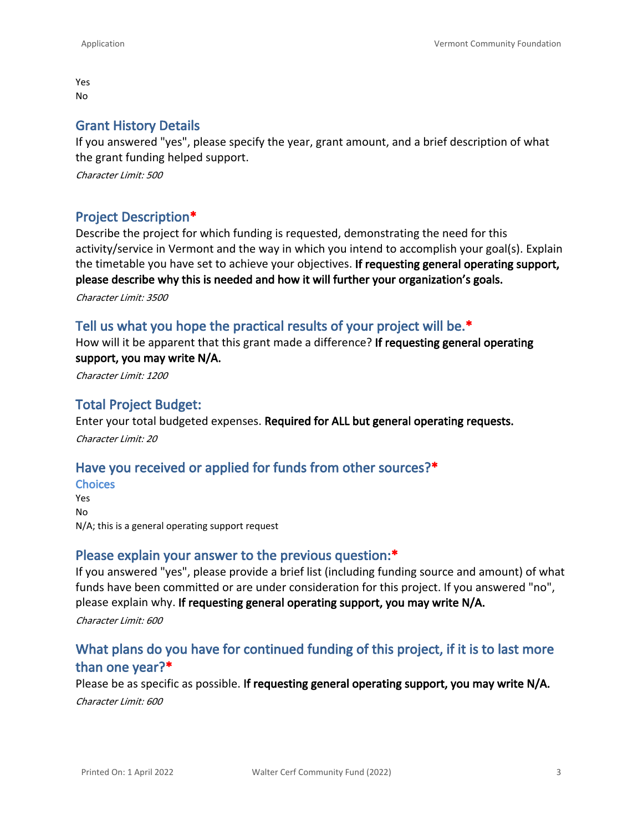Yes No

#### **Grant History Details**

If you answered "yes", please specify the year, grant amount, and a brief description of what the grant funding helped support.

*Character Limit: 500*

### **Project Description\***

Describe the project for which funding is requested, demonstrating the need for this activity/service in Vermont and the way in which you intend to accomplish your goal(s). Explain the timetable you have set to achieve your objectives. **If requesting general operating support, please describe why this is needed and how it will further your organization's goals.**

*Character Limit: 3500*

#### **Tell us what you hope the practical results of your project will be.\***

How will it be apparent that this grant made a difference? **If requesting general operating support, you may write N/A.**

*Character Limit: 1200*

### **Total Project Budget:**

Enter your total budgeted expenses. **Required for ALL but general operating requests.** *Character Limit: 20*

### **Have you received or applied for funds from other sources?\***

**Choices** Yes No N/A; this is a general operating support request

#### **Please explain your answer to the previous question:\***

If you answered "yes", please provide a brief list (including funding source and amount) of what funds have been committed or are under consideration for this project. If you answered "no", please explain why. **If requesting general operating support, you may write N/A.** *Character Limit: 600*

# **What plans do you have for continued funding of this project, if it is to last more than one year?\***

Please be as specific as possible. **If requesting general operating support, you may write N/A.** *Character Limit: 600*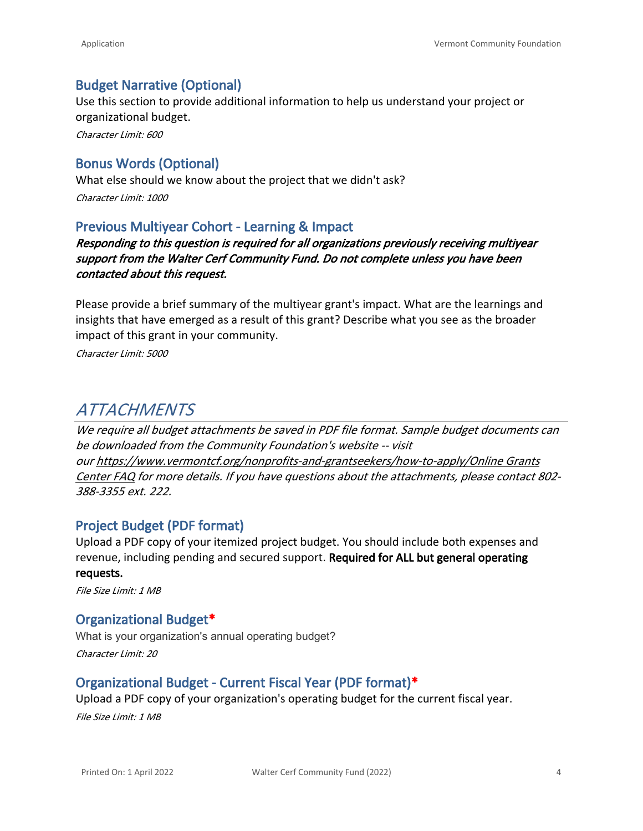# **Budget Narrative (Optional)**

Use this section to provide additional information to help us understand your project or organizational budget.

*Character Limit: 600*

# **Bonus Words (Optional)**

What else should we know about the project that we didn't ask? *Character Limit: 1000*

### **Previous Multiyear Cohort - Learning & Impact**

*Responding to this question is required for all organizations previously receiving multiyear support from the Walter Cerf Community Fund. Do not complete unless you have been contacted about this request.*

Please provide a brief summary of the multiyear grant's impact. What are the learnings and insights that have emerged as a result of this grant? Describe what you see as the broader impact of this grant in your community.

*Character Limit: 5000*

# *ATTACHMENTS*

*We require all budget attachments be saved in PDF file format. Sample budget documents can be downloaded from the Community Foundation's website -- visit our [https://www.vermontcf.org/nonprofits-and-grantseekers/how-to-apply/Online Grants](https://www.vermontcf.org/nonprofits-and-grantseekers/how-to-apply/)  [Center FAQ](https://www.vermontcf.org/nonprofits-and-grantseekers/how-to-apply/) for more details. If you have questions about the attachments, please contact 802- 388-3355 ext. 222.*

### **Project Budget (PDF format)**

Upload a PDF copy of your itemized project budget. You should include both expenses and revenue, including pending and secured support. **Required for ALL but general operating requests.**

*File Size Limit: 1 MB*

### **Organizational Budget\***

What is your organization's annual operating budget? *Character Limit: 20*

# **Organizational Budget - Current Fiscal Year (PDF format)\***

Upload a PDF copy of your organization's operating budget for the current fiscal year.

*File Size Limit: 1 MB*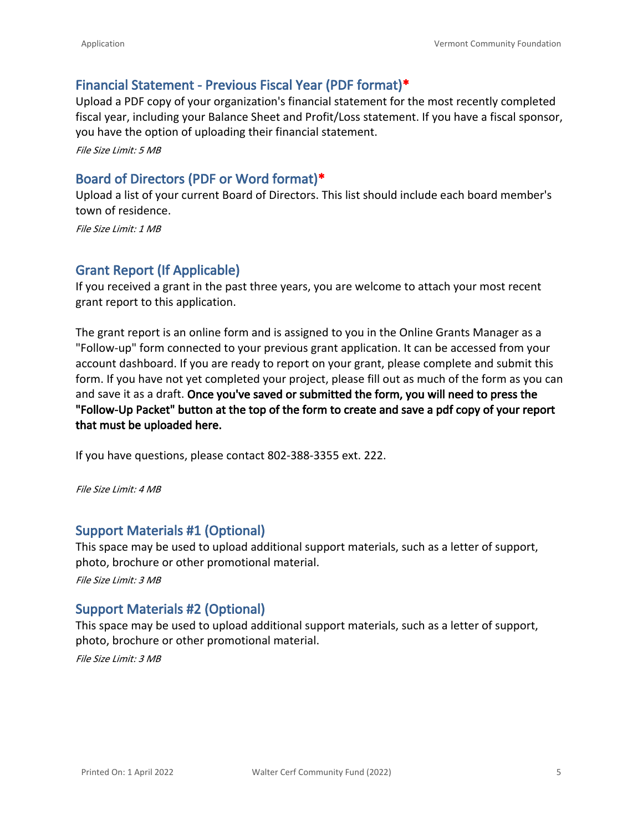# **Financial Statement - Previous Fiscal Year (PDF format)\***

Upload a PDF copy of your organization's financial statement for the most recently completed fiscal year, including your Balance Sheet and Profit/Loss statement. If you have a fiscal sponsor, you have the option of uploading their financial statement.

*File Size Limit: 5 MB*

# **Board of Directors (PDF or Word format)\***

Upload a list of your current Board of Directors. This list should include each board member's town of residence.

*File Size Limit: 1 MB*

# **Grant Report (If Applicable)**

If you received a grant in the past three years, you are welcome to attach your most recent grant report to this application.

The grant report is an online form and is assigned to you in the Online Grants Manager as a "Follow-up" form connected to your previous grant application. It can be accessed from your account dashboard. If you are ready to report on your grant, please complete and submit this form. If you have not yet completed your project, please fill out as much of the form as you can and save it as a draft. **Once you've saved or submitted the form, you will need to press the "Follow-Up Packet" button at the top of the form to create and save a pdf copy of your report that must be uploaded here.**

If you have questions, please contact 802-388-3355 ext. 222.

*File Size Limit: 4 MB*

# **Support Materials #1 (Optional)**

This space may be used to upload additional support materials, such as a letter of support, photo, brochure or other promotional material.

*File Size Limit: 3 MB*

# **Support Materials #2 (Optional)**

This space may be used to upload additional support materials, such as a letter of support, photo, brochure or other promotional material.

*File Size Limit: 3 MB*